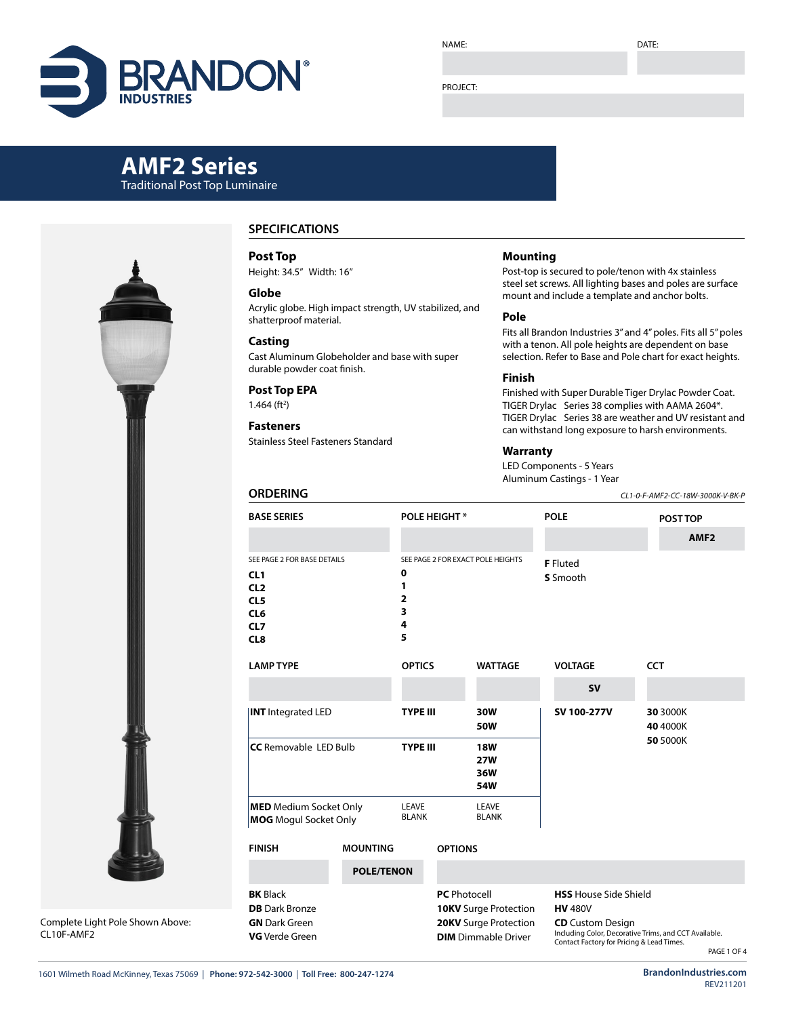

#### PROJECT:

# **AMF2 Series** Traditional Post Top Luminaire



Complete Light Pole Shown Above: CL10F-AMF2

## **SPECIFICATIONS**

**Post Top**

Height: 34.5" Width: 16"

#### **Globe**

Acrylic globe. High impact strength, UV stabilized, and shatterproof material.

#### **Casting**

Cast Aluminum Globeholder and base with super durable powder coat finish.

## **Post Top EPA**

**ORDERING**

 $1.464$  (ft<sup>2</sup>)

## **Fasteners**

Stainless Steel Fasteners Standard

### **Mounting**

Post-top is secured to pole/tenon with 4x stainless steel set screws. All lighting bases and poles are surface mount and include a template and anchor bolts.

#### **Pole**

Fits all Brandon Industries 3" and 4" poles. Fits all 5" poles with a tenon. All pole heights are dependent on base selection. Refer to Base and Pole chart for exact heights.

#### **Finish**

Finished with Super Durable Tiger Drylac Powder Coat. TIGER Drylac Series 38 complies with AAMA 2604\*. TIGER Drylac Series 38 are weather and UV resistant and can withstand long exposure to harsh environments.

#### **Warranty**

LED Components - 5 Years Aluminum Castings - 1 Year

*CL1-0-F-AMF2-CC-18W-3000K-V-BK-P*

| <b>BASE SERIES</b>                                                                                        |                                                                                       |                                                                                                            | <b>POLE HEIGHT*</b>                    |                       |                                                                                                                                                                                 | <b>POLE</b> |                      | POST TOP<br>AMF <sub>2</sub> |  |  |
|-----------------------------------------------------------------------------------------------------------|---------------------------------------------------------------------------------------|------------------------------------------------------------------------------------------------------------|----------------------------------------|-----------------------|---------------------------------------------------------------------------------------------------------------------------------------------------------------------------------|-------------|----------------------|------------------------------|--|--|
| SEE PAGE 2 FOR BASE DETAILS<br>CL1<br>CL <sub>2</sub><br>CL5<br>CL <sub>6</sub><br>CL7<br>CL <sub>8</sub> | SEE PAGE 2 FOR EXACT POLE HEIGHTS<br>0<br>1<br>$\overline{\mathbf{2}}$<br>3<br>4<br>5 |                                                                                                            |                                        |                       | <b>F</b> Fluted<br>S Smooth                                                                                                                                                     |             |                      |                              |  |  |
| <b>LAMP TYPE</b>                                                                                          | <b>OPTICS</b>                                                                         |                                                                                                            | <b>WATTAGE</b>                         |                       | <b>VOLTAGE</b>                                                                                                                                                                  |             | <b>CCT</b>           |                              |  |  |
|                                                                                                           |                                                                                       |                                                                                                            |                                        |                       | <b>SV</b>                                                                                                                                                                       |             |                      |                              |  |  |
| <b>INT</b> Integrated LED                                                                                 | <b>TYPE III</b>                                                                       |                                                                                                            | 30W<br>50W                             |                       | SV 100-277V                                                                                                                                                                     |             | 30 3000K<br>40 4000K |                              |  |  |
| <b>CC</b> Removable LED Bulb                                                                              | <b>TYPE III</b>                                                                       |                                                                                                            | <b>18W</b><br><b>27W</b><br>36W<br>54W |                       |                                                                                                                                                                                 |             | 50 5000K             |                              |  |  |
|                                                                                                           | <b>MED</b> Medium Socket Only<br><b>MOG</b> Mogul Socket Only                         |                                                                                                            |                                        | LEAVE<br><b>BLANK</b> |                                                                                                                                                                                 |             |                      |                              |  |  |
| <b>FINISH</b>                                                                                             | <b>MOUNTING</b>                                                                       |                                                                                                            |                                        | <b>OPTIONS</b>        |                                                                                                                                                                                 |             |                      |                              |  |  |
|                                                                                                           | <b>POLE/TENON</b>                                                                     |                                                                                                            |                                        |                       |                                                                                                                                                                                 |             |                      |                              |  |  |
| <b>BK</b> Black<br><b>DB</b> Dark Bronze<br><b>GN</b> Dark Green<br><b>VG</b> Verde Green                 |                                                                                       | <b>PC</b> Photocell<br><b>10KV</b> Surge Protection<br>20KV Surge Protection<br><b>DIM</b> Dimmable Driver |                                        |                       | <b>HSS</b> House Side Shield<br><b>HV 480V</b><br><b>CD</b> Custom Design<br>Including Color, Decorative Trims, and CCT Available.<br>Contact Factory for Pricing & Lead Times. |             |                      |                              |  |  |

PAGE 1 OF 4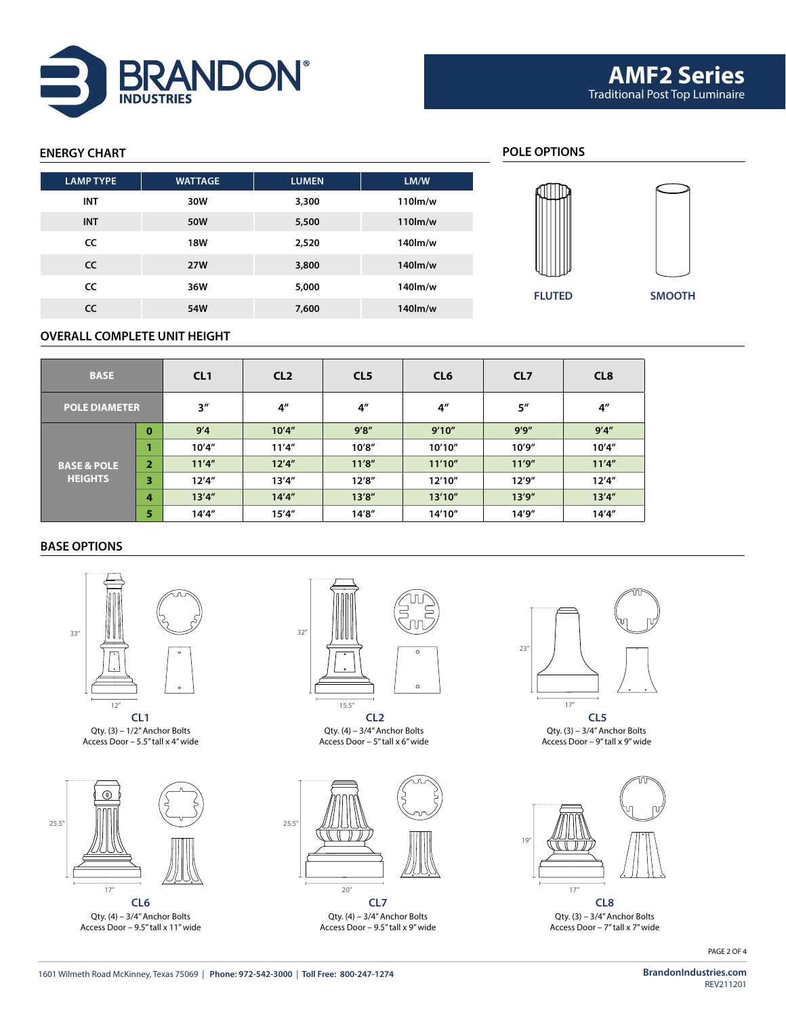

# **ENERGY CHART POLE OPTIONS FLUTED SMOOTH LAMP TYPE WATTAGE LUMEN LM/W INT 30W 3,300 110lm/w INT 50W 5,500 110lm/w CC 18W 2,520 140lm/w CC 27W 3,800 140lm/w CC 36W 5,000 140lm/w CC 54W 7,600 140lm/w**

## **OVERALL COMPLETE UNIT HEIGHT**

| <b>BASE</b>            |                | CL1    | CL <sub>2</sub>    | CL <sub>5</sub> | CL <sub>6</sub> | CL <sub>7</sub> | CL <sub>8</sub> |  |
|------------------------|----------------|--------|--------------------|-----------------|-----------------|-----------------|-----------------|--|
| <b>POLE DIAMETER</b>   |                | 3''    | $4^{\prime\prime}$ | 4 <sup>''</sup> |                 | 5''             | 4 <sup>''</sup> |  |
|                        | $\bf{0}$       | 9'4    | 10'4''             | 9'8''           | 9'10''          | 9'9''           | 9'4''           |  |
|                        |                | 10'4'' | 11'4''             | 10'8''          | 10'10"          | 10'9''          | 10'4''          |  |
| <b>BASE &amp; POLE</b> | $\overline{2}$ | 11'4'' | 12'4''             | 11'8''          | 11'10''         | 11'9''          | 11'4''          |  |
| <b>HEIGHTS</b>         | 3              | 12'4'' | 13'4''             | 12'8''          | 12'10"          | 12'9''          | 12'4''          |  |
|                        | 4              | 13'4'' | 14'4''             | 13'8''          | 13'10''         | 13'9''          | 13'4''          |  |
|                        | 5              | 14'4'' | 15'4''             | 14'8''          | 14'10"          | 14'9''          | 14'4''          |  |

## **BASE OPTIONS**



Qty. (3) – 1/2" Anchor Bolts Access Door – 5.5" tall x 4" wide



Qty. (4) – 3/4" Anchor Bolts Access Door – 9.5" tall x 11" wide



**CL1 CL2 CL5** Qty. (4) – 3/4" Anchor Bolts Access Door – 5" tall x 6" wide



**CL6 CL7 CL8** Qty. (4) – 3/4" Anchor Bolts Access Door – 9.5" tall x 9" wide



Qty. (3) – 3/4" Anchor Bolts Access Door – 9" tall x 9" wide



Qty. (3) – 3/4" Anchor Bolts Access Door – 7" tall x 7" wide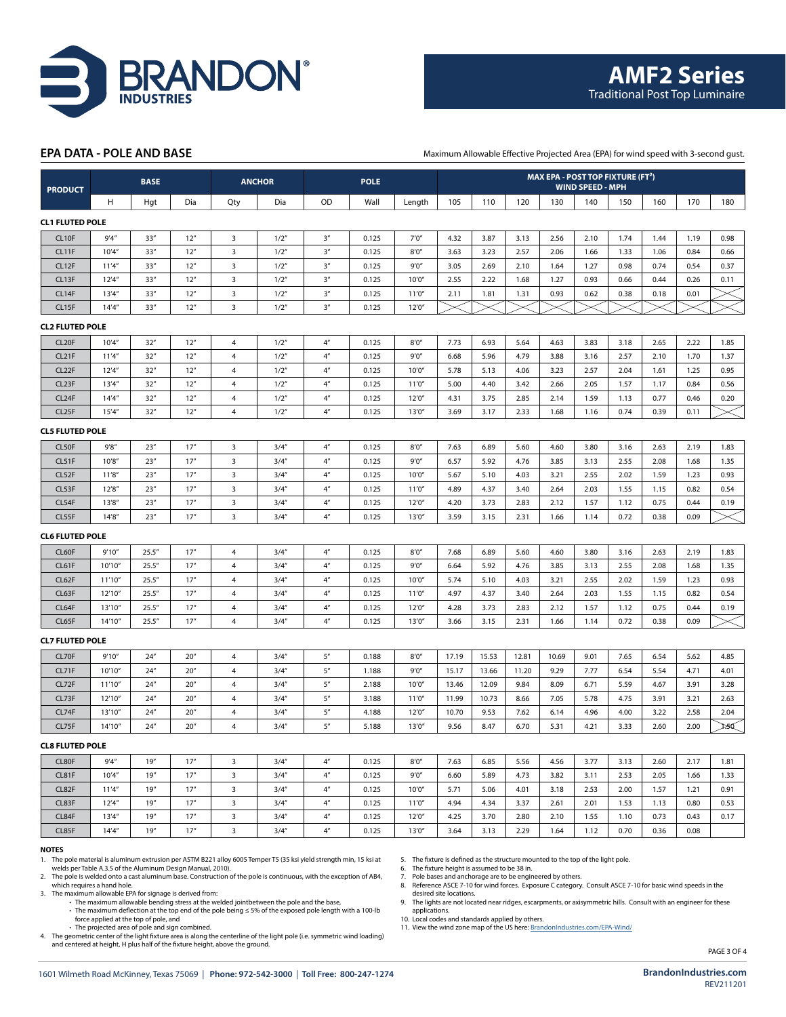

#### **EPA DATA - POLE AND BASE**

Maximum Allowable Effective Projected Area (EPA) for wind speed with 3-second gust.

| <b>PRODUCT</b>         |         | <b>BASE</b> |      | <b>ANCHOR</b>           |       | <b>POLE</b>        |       |        | MAX EPA - POST TOP FIXTURE (FT <sup>2</sup> )<br><b>WIND SPEED - MPH</b> |       |       |       |      |      |      |      |      |
|------------------------|---------|-------------|------|-------------------------|-------|--------------------|-------|--------|--------------------------------------------------------------------------|-------|-------|-------|------|------|------|------|------|
|                        | н       | Hgt         | Dia  | Qty                     | Dia   | OD                 | Wall  | Length | 105                                                                      | 110   | 120   | 130   | 140  | 150  | 160  | 170  | 180  |
| <b>CL1 FLUTED POLE</b> |         |             |      |                         |       |                    |       |        |                                                                          |       |       |       |      |      |      |      |      |
| CL <sub>10F</sub>      | 9'4''   | 33''        | 12"  | $\overline{\mathbf{3}}$ | 1/2"  | 3''                | 0.125 | 7'0''  | 4.32                                                                     | 3.87  | 3.13  | 2.56  | 2.10 | 1.74 | 1.44 | 1.19 | 0.98 |
| CL11F                  | 10'4''  | 33''        | 12"  | $\overline{\mathbf{3}}$ | 1/2'' | 3 <sup>n</sup>     | 0.125 | 8'0''  | 3.63                                                                     | 3.23  | 2.57  | 2.06  | 1.66 | 1.33 | 1.06 | 0.84 | 0.66 |
| CL12F                  | 11'4''  | 33''        | 12'' | $\overline{\mathbf{3}}$ | 1/2'' | 3''                | 0.125 | 9'0''  | 3.05                                                                     | 2.69  | 2.10  | 1.64  | 1.27 | 0.98 | 0.74 | 0.54 | 0.37 |
| CL13F                  | 12'4''  | 33''        | 12'' | 3                       | 1/2"  | 3''                | 0.125 | 10'0'' | 2.55                                                                     | 2.22  | 1.68  | 1.27  | 0.93 | 0.66 | 0.44 | 0.26 | 0.11 |
| CL14F                  | 13'4''  | 33''        | 12"  | $\overline{\mathbf{3}}$ | 1/2"  | 3 <sup>n</sup>     | 0.125 | 11'0'' | 2.11                                                                     | 1.81  | 1.31  | 0.93  | 0.62 | 0.38 | 0.18 | 0.01 |      |
| CL15F                  | 14'4''  | 33''        | 12"  | 3                       | 1/2'' | 3 <sup>n</sup>     | 0.125 | 12'0'' |                                                                          |       |       |       |      |      |      |      |      |
| <b>CL2 FLUTED POLE</b> |         |             |      |                         |       |                    |       |        |                                                                          |       |       |       |      |      |      |      |      |
| CL <sub>20</sub> F     | 10'4''  | 32"         | 12"  | $\overline{4}$          | 1/2'' | 4 <sup>n</sup>     | 0.125 | 8'0''  | 7.73                                                                     | 6.93  | 5.64  | 4.63  | 3.83 | 3.18 | 2.65 | 2.22 | 1.85 |
| CL <sub>21</sub> F     | 11'4''  | 32"         | 12"  | 4                       | 1/2'' | $4''$              | 0.125 | 9'0''  | 6.68                                                                     | 5.96  | 4.79  | 3.88  | 3.16 | 2.57 | 2.10 | 1.70 | 1.37 |
| CL <sub>22</sub> F     | 12'4''  | 32"         | 12"  | 4                       | 1/2'' | 4 <sup>n</sup>     | 0.125 | 10'0'' | 5.78                                                                     | 5.13  | 4.06  | 3.23  | 2.57 | 2.04 | 1.61 | 1.25 | 0.95 |
| CL <sub>23</sub> F     | 13'4''  | 32"         | 12'' | 4                       | 1/2"  | $4^{\prime\prime}$ | 0.125 | 11'0'' | 5.00                                                                     | 4.40  | 3.42  | 2.66  | 2.05 | 1.57 | 1.17 | 0.84 | 0.56 |
| CL24F                  | 14'4''  | 32"         | 12'' | $\sqrt{4}$              | 1/2"  | 4 <sup>n</sup>     | 0.125 | 12'0'' | 4.31                                                                     | 3.75  | 2.85  | 2.14  | 1.59 | 1.13 | 0.77 | 0.46 | 0.20 |
| CL25F                  | 15'4''  | 32"         | 12"  | $\overline{4}$          | 1/2"  | 4 <sup>n</sup>     | 0.125 | 13'0'' | 3.69                                                                     | 3.17  | 2.33  | 1.68  | 1.16 | 0.74 | 0.39 | 0.11 |      |
| <b>CL5 FLUTED POLE</b> |         |             |      |                         |       |                    |       |        |                                                                          |       |       |       |      |      |      |      |      |
| CL50F                  | 9'8''   | 23''        | 17'' | 3                       | 3/4'' | $4''$              | 0.125 | 8'0''  | 7.63                                                                     | 6.89  | 5.60  | 4.60  | 3.80 | 3.16 | 2.63 | 2.19 | 1.83 |
| CL51F                  | 10'8''  | 23''        | 17'' | $\overline{\mathbf{3}}$ | 3/4'' | 4 <sup>n</sup>     | 0.125 | 9'0''  | 6.57                                                                     | 5.92  | 4.76  | 3.85  | 3.13 | 2.55 | 2.08 | 1.68 | 1.35 |
| CL52F                  | 11'8''  | 23''        | 17'' | $\overline{\mathbf{3}}$ | 3/4'' | 4 <sup>n</sup>     | 0.125 | 10'0'' | 5.67                                                                     | 5.10  | 4.03  | 3.21  | 2.55 | 2.02 | 1.59 | 1.23 | 0.93 |
| CL53F                  | 12'8''  | 23''        | 17'' | $\overline{\mathbf{3}}$ | 3/4'' | 4 <sup>n</sup>     | 0.125 | 11'0'' | 4.89                                                                     | 4.37  | 3.40  | 2.64  | 2.03 | 1.55 | 1.15 | 0.82 | 0.54 |
| CL54F                  | 13'8''  | 23''        | 17'' | $\overline{\mathbf{3}}$ | 3/4'' | $4''$              | 0.125 | 12'0'' | 4.20                                                                     | 3.73  | 2.83  | 2.12  | 1.57 | 1.12 | 0.75 | 0.44 | 0.19 |
| CL55F                  | 14'8''  | 23''        | 17'' | $\overline{3}$          | 3/4'' | 4 <sup>n</sup>     | 0.125 | 13'0'' | 3.59                                                                     | 3.15  | 2.31  | 1.66  | 1.14 | 0.72 | 0.38 | 0.09 |      |
| <b>CL6 FLUTED POLE</b> |         |             |      |                         |       |                    |       |        |                                                                          |       |       |       |      |      |      |      |      |
| CL60F                  | 9'10''  | 25.5''      | 17'' | $\overline{4}$          | 3/4'' | 4 <sup>n</sup>     | 0.125 | 8'0''  | 7.68                                                                     | 6.89  | 5.60  | 4.60  | 3.80 | 3.16 | 2.63 | 2.19 | 1.83 |
| CL61F                  | 10'10"  | 25.5''      | 17'' | $\overline{a}$          | 3/4'' | $4''$              | 0.125 | 9'0''  | 6.64                                                                     | 5.92  | 4.76  | 3.85  | 3.13 | 2.55 | 2.08 | 1.68 | 1.35 |
| CL62F                  | 11'10"  | 25.5''      | 17'' | $\overline{4}$          | 3/4'' | $4''$              | 0.125 | 10'0'' | 5.74                                                                     | 5.10  | 4.03  | 3.21  | 2.55 | 2.02 | 1.59 | 1.23 | 0.93 |
| CL63F                  | 12'10'' | 25.5''      | 17'' | 4                       | 3/4'' | 4 <sup>n</sup>     | 0.125 | 11'0'' | 4.97                                                                     | 4.37  | 3.40  | 2.64  | 2.03 | 1.55 | 1.15 | 0.82 | 0.54 |
| CL64F                  | 13'10"  | 25.5''      | 17'' | $\overline{4}$          | 3/4'' | $4''$              | 0.125 | 12'0'' | 4.28                                                                     | 3.73  | 2.83  | 2.12  | 1.57 | 1.12 | 0.75 | 0.44 | 0.19 |
| CL65F                  | 14'10'' | 25.5''      | 17'' | $\overline{4}$          | 3/4'' | 4 <sup>n</sup>     | 0.125 | 13'0'' | 3.66                                                                     | 3.15  | 2.31  | 1.66  | 1.14 | 0.72 | 0.38 | 0.09 |      |
| <b>CL7 FLUTED POLE</b> |         |             |      |                         |       |                    |       |        |                                                                          |       |       |       |      |      |      |      |      |
| CL70F                  | 9'10''  | 24''        | 20'' | $\overline{a}$          | 3/4'' | $5''$              | 0.188 | 8'0''  | 17.19                                                                    | 15.53 | 12.81 | 10.69 | 9.01 | 7.65 | 6.54 | 5.62 | 4.85 |
| CL71F                  | 10'10"  | 24''        | 20'' | $\overline{4}$          | 3/4'' | 5''                | 1.188 | 9'0''  | 15.17                                                                    | 13.66 | 11.20 | 9.29  | 7.77 | 6.54 | 5.54 | 4.71 | 4.01 |
| CL72F                  | 11'10"  | 24''        | 20'' | $\overline{4}$          | 3/4'' | 5''                | 2.188 | 10'0'' | 13.46                                                                    | 12.09 | 9.84  | 8.09  | 6.71 | 5.59 | 4.67 | 3.91 | 3.28 |
| CL73F                  | 12'10"  | 24''        | 20'' | $\overline{4}$          | 3/4'' | 5''                | 3.188 | 11'0'' | 11.99                                                                    | 10.73 | 8.66  | 7.05  | 5.78 | 4.75 | 3.91 | 3.21 | 2.63 |
| CL74F                  | 13'10"  | 24''        | 20'' | 4                       | 3/4'' | $5^{\prime\prime}$ | 4.188 | 12'0'' | 10.70                                                                    | 9.53  | 7.62  | 6.14  | 4.96 | 4.00 | 3.22 | 2.58 | 2.04 |
| CL75F                  | 14'10'' | 24''        | 20'' | 4                       | 3/4'' | $5''$              | 5.188 | 13'0'' | 9.56                                                                     | 8.47  | 6.70  | 5.31  | 4.21 | 3.33 | 2.60 | 2.00 | 125Q |
| <b>CL8 FLUTED POLE</b> |         |             |      |                         |       |                    |       |        |                                                                          |       |       |       |      |      |      |      |      |
| CL80F                  | 9'4''   | 19''        | 17'' | 3                       | 3/4'' | 4 <sup>n</sup>     | 0.125 | 8'0''  | 7.63                                                                     | 6.85  | 5.56  | 4.56  | 3.77 | 3.13 | 2.60 | 2.17 | 1.81 |
| CL81F                  | 10'4''  | 19''        | 17'' | $\overline{\mathbf{3}}$ | 3/4'' | 4''                | 0.125 | 9'0''  | 6.60                                                                     | 5.89  | 4.73  | 3.82  | 3.11 | 2.53 | 2.05 | 1.66 | 1.33 |
| CL82F                  | 11'4''  | 19''        | 17'' | $\overline{\mathbf{3}}$ | 3/4'' | 4''                | 0.125 | 10'0'' | 5.71                                                                     | 5.06  | 4.01  | 3.18  | 2.53 | 2.00 | 1.57 | 1.21 | 0.91 |
| CL83F                  | 12'4''  | 19''        | 17'' | $\overline{\mathbf{3}}$ | 3/4'' | 4''                | 0.125 | 11'0'' | 4.94                                                                     | 4.34  | 3.37  | 2.61  | 2.01 | 1.53 | 1.13 | 0.80 | 0.53 |
| CL84F                  | 13'4''  | 19''        | 17'' | $\overline{\mathbf{3}}$ | 3/4'' | $4^{\prime\prime}$ | 0.125 | 12'0'' | 4.25                                                                     | 3.70  | 2.80  | 2.10  | 1.55 | 1.10 | 0.73 | 0.43 | 0.17 |
| CL85F                  | 14'4''  | 19''        | 17'' | 3                       | 3/4'' | 4 <sup>n</sup>     | 0.125 | 13'0'' | 3.64                                                                     | 3.13  | 2.29  | 1.64  | 1.12 | 0.70 | 0.36 | 0.08 |      |
| <b>NOTES</b>           |         |             |      |                         |       |                    |       |        |                                                                          |       |       |       |      |      |      |      |      |

1. The pole material is aluminum extrusion per ASTM B221 alloy 6005 Temper T5 (35 ksi yield strength min, 15 ksi at welds per Table A.3.5 of the Aluminum Design Manual, 2010).

2. The pole is welded onto a cast aluminum base. Construction of the pole is continuous, with the exception of AB4, which requires a hand hole.

3. The maximum allowable EPA for signage is derived from: • The maximum allowable bending stress at the welded jointbetween the pole and the base,

• The maximum deflection at the top end of the pole being ≤ 5% of the exposed pole length with a 100-lb

force applied at the top of pole, and

• The projected area of pole and sign combined.<br>A The geometric center of the light fixture area is along the centerline of the light pole (i.e. symmetric wind loading)<br>and centered at height, H plus half of the fixture h

5. The fixture is defined as the structure mounted to the top of the light pole. 6. The fixture height is assumed to be 38 in.

7. Pole bases and anchorage are to be engineered by others. 8. Reference ASCE 7-10 for wind forces. Exposure C category. Consult ASCE 7-10 for basic wind speeds in the

desired site locations. 9. The lights are not located near ridges, escarpments, or axisymmetric hills. Consult with an engineer for these

applications. 10. Local codes and standards applied by others.

11. View the wind zone map of the US here: [BrandonIndustries.com/EPA-Wind/](http://BrandonIndustries.com/EPA-Wind/)

PAGE 3 OF 4